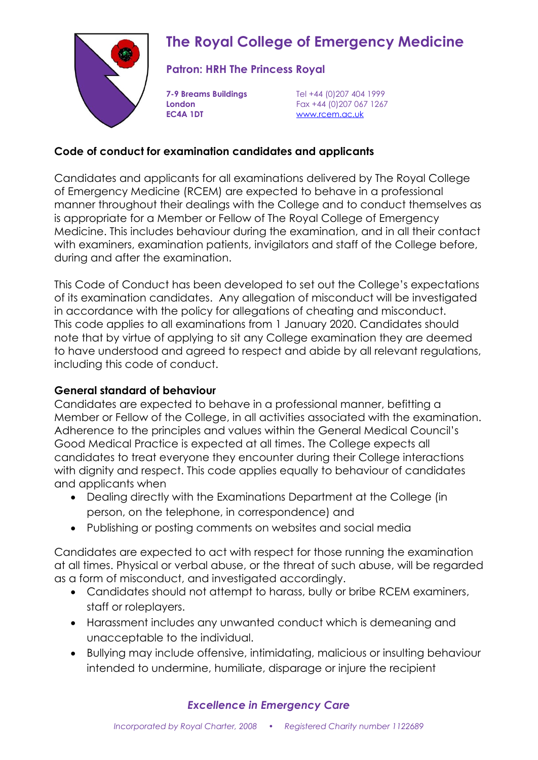

# **The Royal College of Emergency Medicine**

### **Patron: HRH The Princess Royal**

**EC4A 1DT** [www.rcem.ac.uk](http://www.rcem.ac.uk/)

**7-9 Breams Buildings** Tel +44 (0)207 404 1999 **London** Fax +44 (0)207 067 1267

#### **Code of conduct for examination candidates and applicants**

Candidates and applicants for all examinations delivered by The Royal College of Emergency Medicine (RCEM) are expected to behave in a professional manner throughout their dealings with the College and to conduct themselves as is appropriate for a Member or Fellow of The Royal College of Emergency Medicine. This includes behaviour during the examination, and in all their contact with examiners, examination patients, invigilators and staff of the College before, during and after the examination.

This Code of Conduct has been developed to set out the College's expectations of its examination candidates. Any allegation of misconduct will be investigated in accordance with the policy for allegations of cheating and misconduct. This code applies to all examinations from 1 January 2020. Candidates should note that by virtue of applying to sit any College examination they are deemed to have understood and agreed to respect and abide by all relevant regulations, including this code of conduct.

### **General standard of behaviour**

Candidates are expected to behave in a professional manner, befitting a Member or Fellow of the College, in all activities associated with the examination. Adherence to the principles and values within the General Medical Council's Good Medical Practice is expected at all times. The College expects all candidates to treat everyone they encounter during their College interactions with dignity and respect. This code applies equally to behaviour of candidates and applicants when

- Dealing directly with the Examinations Department at the College (in person, on the telephone, in correspondence) and
- Publishing or posting comments on websites and social media

Candidates are expected to act with respect for those running the examination at all times. Physical or verbal abuse, or the threat of such abuse, will be regarded as a form of misconduct, and investigated accordingly.

- Candidates should not attempt to harass, bully or bribe RCEM examiners, staff or roleplayers.
- Harassment includes any unwanted conduct which is demeaning and unacceptable to the individual.
- Bullying may include offensive, intimidating, malicious or insulting behaviour intended to undermine, humiliate, disparage or injure the recipient

### *Excellence in Emergency Care*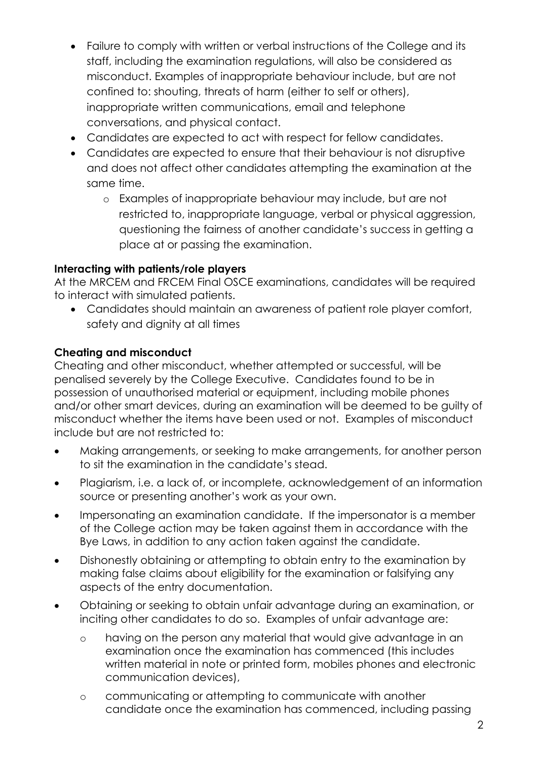- Failure to comply with written or verbal instructions of the College and its staff, including the examination regulations, will also be considered as misconduct. Examples of inappropriate behaviour include, but are not confined to: shouting, threats of harm (either to self or others), inappropriate written communications, email and telephone conversations, and physical contact.
- Candidates are expected to act with respect for fellow candidates.
- Candidates are expected to ensure that their behaviour is not disruptive and does not affect other candidates attempting the examination at the same time.
	- o Examples of inappropriate behaviour may include, but are not restricted to, inappropriate language, verbal or physical aggression, questioning the fairness of another candidate's success in getting a place at or passing the examination.

### **Interacting with patients/role players**

At the MRCEM and FRCEM Final OSCE examinations, candidates will be required to interact with simulated patients.

• Candidates should maintain an awareness of patient role player comfort, safety and dignity at all times

## **Cheating and misconduct**

Cheating and other misconduct, whether attempted or successful, will be penalised severely by the College Executive. Candidates found to be in possession of unauthorised material or equipment, including mobile phones and/or other smart devices, during an examination will be deemed to be guilty of misconduct whether the items have been used or not. Examples of misconduct include but are not restricted to:

- Making arrangements, or seeking to make arrangements, for another person to sit the examination in the candidate's stead.
- Plagiarism, i.e. a lack of, or incomplete, acknowledgement of an information source or presenting another's work as your own.
- Impersonating an examination candidate. If the impersonator is a member of the College action may be taken against them in accordance with the Bye Laws, in addition to any action taken against the candidate.
- Dishonestly obtaining or attempting to obtain entry to the examination by making false claims about eligibility for the examination or falsifying any aspects of the entry documentation.
- Obtaining or seeking to obtain unfair advantage during an examination, or inciting other candidates to do so. Examples of unfair advantage are:
	- o having on the person any material that would give advantage in an examination once the examination has commenced (this includes written material in note or printed form, mobiles phones and electronic communication devices),
	- o communicating or attempting to communicate with another candidate once the examination has commenced, including passing